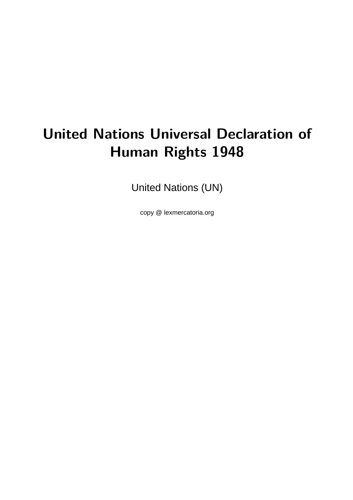# **United Nations Universal Declaration of Human Rights 1948**

United Nations (UN)

copy @ lexmercatoria.org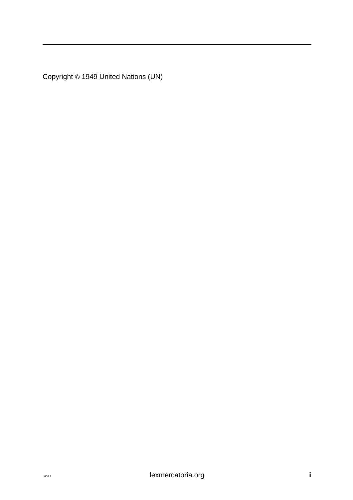Copyright © 1949 United Nations (UN)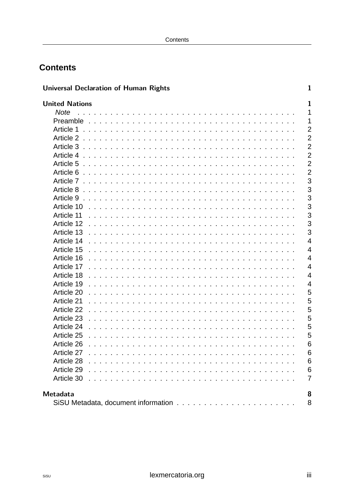# **Contents**

| <b>Universal Declaration of Human Rights</b>                                                                                | 1               |
|-----------------------------------------------------------------------------------------------------------------------------|-----------------|
| <b>United Nations</b>                                                                                                       | $\mathbf 1$     |
| <b>Note</b>                                                                                                                 | $\mathbf{1}$    |
| Preamble                                                                                                                    | $\mathbf{1}$    |
| Article 1<br>.                                                                                                              | $\overline{2}$  |
| Article 2                                                                                                                   | $\overline{2}$  |
| Article 3<br>de la caractería de la caractería de la caractería de la caractería de la caractería de la caractería de la ca | $\overline{2}$  |
| Article 4                                                                                                                   | $\overline{2}$  |
| Article 5                                                                                                                   | $\overline{2}$  |
| Article 6<br>$\sim$                                                                                                         | $\overline{2}$  |
| Article 7                                                                                                                   | 3               |
| Article 8<br>de la caractería de la caractería de la caractería de la caractería                                            | 3               |
| Article 9                                                                                                                   | 3               |
| Article 10                                                                                                                  | 3               |
| Article 11                                                                                                                  | 3               |
| Article 12                                                                                                                  | 3               |
| Article 13                                                                                                                  | 3               |
| Article 14                                                                                                                  | $\overline{4}$  |
| Article 15<br>de la caractería de la caractería de la caractería                                                            | $\overline{4}$  |
| Article 16                                                                                                                  | $\overline{4}$  |
| Article 17<br>$\sim 100$                                                                                                    | $\overline{4}$  |
| Article 18                                                                                                                  | $\overline{4}$  |
| Article 19                                                                                                                  | $\overline{4}$  |
| Article 20<br>and the state of the state of the state of the                                                                | 5               |
| Article 21                                                                                                                  | 5               |
| Article 22                                                                                                                  | 5               |
| Article 23                                                                                                                  | 5               |
| Article 24<br>$\sim$ $\sim$                                                                                                 | 5               |
| Article 25                                                                                                                  | 5               |
| Article 26                                                                                                                  | 6               |
| Article 27                                                                                                                  | 6               |
| Article 28                                                                                                                  | 6               |
| Article 29                                                                                                                  | $6\phantom{1}6$ |
| Article 30                                                                                                                  | $\overline{7}$  |
| Metadata                                                                                                                    | 8               |
|                                                                                                                             | 8               |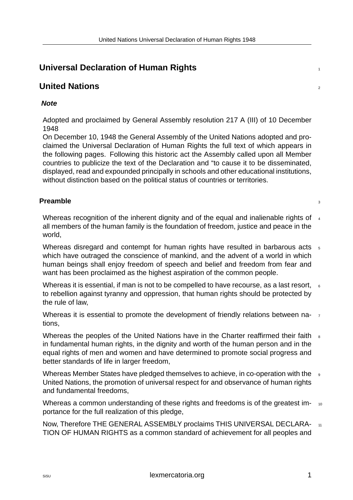# **Universal Declaration of Human Rights** <sup>1</sup>

# **United Nations** <sup>2</sup>

#### <span id="page-3-0"></span>*Note*

<span id="page-3-1"></span>Adopted and proclaimed by General Assembly resolution 217 A (III) of 10 December 1948

<span id="page-3-2"></span>On December 10, 1948 the General Assembly of the United Nations adopted and proclaimed the Universal Declaration of Human Rights the full text of which appears in the following pages. Following this historic act the Assembly called upon all Member countries to publicize the text of the Declaration and "to cause it to be disseminated, displayed, read and expounded principally in schools and other educational institutions, without distinction based on the political status of countries or territories.

#### **Preamble** 33

Whereas recognition of the inherent dignity and of the equal and inalienable rights of  $\frac{4}{4}$ all members of the human family is the foundation of freedom, justice and peace in the world,

<span id="page-3-3"></span>Whereas disregard and contempt for human rights have resulted in barbarous acts  $5$ which have outraged the conscience of mankind, and the advent of a world in which human beings shall enjoy freedom of speech and belief and freedom from fear and want has been proclaimed as the highest aspiration of the common people.

Whereas it is essential, if man is not to be compelled to have recourse, as a last resort,  $\epsilon$ to rebellion against tyranny and oppression, that human rights should be protected by the rule of law,

Whereas it is essential to promote the development of friendly relations between nations,

Whereas the peoples of the United Nations have in the Charter reaffirmed their faith  $\frac{1}{8}$ in fundamental human rights, in the dignity and worth of the human person and in the equal rights of men and women and have determined to promote social progress and better standards of life in larger freedom,

Whereas Member States have pledged themselves to achieve, in co-operation with the 9 United Nations, the promotion of universal respect for and observance of human rights and fundamental freedoms,

Whereas a common understanding of these rights and freedoms is of the greatest importance for the full realization of this pledge,

Now, Therefore THE GENERAL ASSEMBLY proclaims THIS UNIVERSAL DECLARA-  $_{11}$ TION OF HUMAN RIGHTS as a common standard of achievement for all peoples and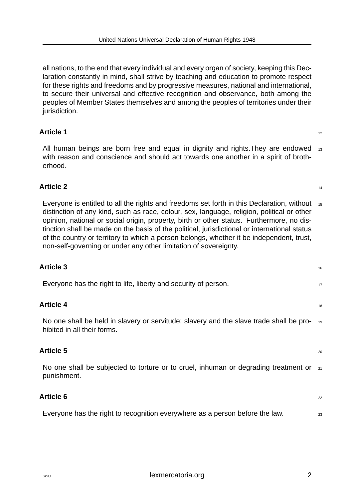all nations, to the end that every individual and every organ of society, keeping this Declaration constantly in mind, shall strive by teaching and education to promote respect for these rights and freedoms and by progressive measures, national and international, to secure their universal and effective recognition and observance, both among the peoples of Member States themselves and among the peoples of territories under their jurisdiction.

#### **Article 1** 12

All human beings are born free and equal in dignity and rights. They are endowed  $_{13}$ with reason and conscience and should act towards one another in a spirit of brotherhood.

#### <span id="page-4-0"></span>**Article 2** 14

<span id="page-4-1"></span>Everyone is entitled to all the rights and freedoms set forth in this Declaration, without  $_{15}$ distinction of any kind, such as race, colour, sex, language, religion, political or other opinion, national or social origin, property, birth or other status. Furthermore, no distinction shall be made on the basis of the political, jurisdictional or international status of the country or territory to which a person belongs, whether it be independent, trust, non-self-governing or under any other limitation of sovereignty.

#### <span id="page-4-2"></span>**Article 4** 18

No one shall be held in slavery or servitude; slavery and the slave trade shall be prohibited in all their forms.

#### <span id="page-4-3"></span>**Article 5** <sup>20</sup>

No one shall be subjected to torture or to cruel, inhuman or degrading treatment or  $_{21}$ punishment.

#### <span id="page-4-4"></span>**Article 6** <sup>22</sup>

<span id="page-4-5"></span>Everyone has the right to recognition everywhere as a person before the law.  $23$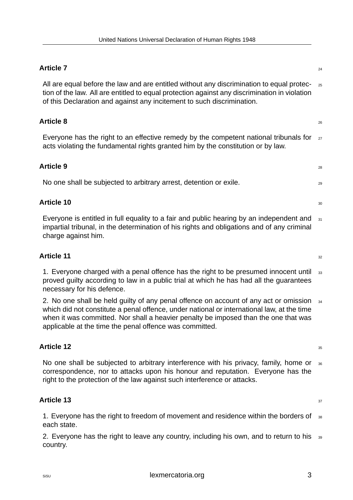#### **Article 7** 24

All are equal before the law and are entitled without any discrimination to equal protec- <sub>25</sub> tion of the law. All are entitled to equal protection against any discrimination in violation of this Declaration and against any incitement to such discrimination.

#### <span id="page-5-0"></span>**Article 8** <sup>26</sup>

Everyone has the right to an effective remedy by the competent national tribunals for  $z_7$ acts violating the fundamental rights granted him by the constitution or by law.

#### <span id="page-5-1"></span>**Article 9** <sup>28</sup>

No one shall be subjected to arbitrary arrest, detention or exile.

#### <span id="page-5-2"></span>**Article 10** 30

Everyone is entitled in full equality to a fair and public hearing by an independent and  $31$ impartial tribunal, in the determination of his rights and obligations and of any criminal charge against him.

#### <span id="page-5-3"></span>**Article 11** 32

1. Everyone charged with a penal offence has the right to be presumed innocent until  $\frac{33}{33}$ proved guilty according to law in a public trial at which he has had all the guarantees necessary for his defence.

<span id="page-5-4"></span>2. No one shall be held guilty of any penal offence on account of any act or omission  $34$ which did not constitute a penal offence, under national or international law, at the time when it was committed. Nor shall a heavier penalty be imposed than the one that was applicable at the time the penal offence was committed.

#### **Article 12** 35

No one shall be subjected to arbitrary interference with his privacy, family, home or  $36$ correspondence, nor to attacks upon his honour and reputation. Everyone has the right to the protection of the law against such interference or attacks.

#### <span id="page-5-5"></span>**Article 13** 37

1. Everyone has the right to freedom of movement and residence within the borders of  $38$ each state.

<span id="page-5-6"></span>2. Everyone has the right to leave any country, including his own, and to return to his  $39$ country.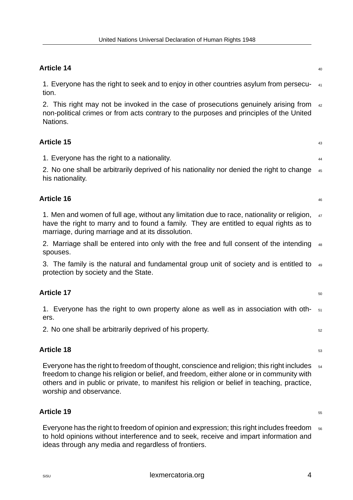#### **Article 14** 40

1. Everyone has the right to seek and to enjoy in other countries asylum from persecu- <sup>41</sup> tion.

<span id="page-6-0"></span>2. This right may not be invoked in the case of prosecutions genuinely arising from  $42$ non-political crimes or from acts contrary to the purposes and principles of the United Nations.

#### **Article 15** <sup>43</sup>

1. Everyone has the right to a nationality. <sup>44</sup>

<span id="page-6-1"></span>2. No one shall be arbitrarily deprived of his nationality nor denied the right to change  $45$ his nationality.

#### **Article 16** <sup>46</sup>

1. Men and women of full age, without any limitation due to race, nationality or religion,  $47$ have the right to marry and to found a family. They are entitled to equal rights as to marriage, during marriage and at its dissolution.

<span id="page-6-2"></span>2. Marriage shall be entered into only with the free and full consent of the intending  $_{48}$ spouses.

3. The family is the natural and fundamental group unit of society and is entitled to  $\frac{49}{49}$ protection by society and the State.

## **Article 17** 50

1. Everyone has the right to own property alone as well as in association with oth-  $_{51}$ ers.

<span id="page-6-3"></span>2. No one shall be arbitrarily deprived of his property.  $52$ 

#### **Article 18** 53

Everyone has the right to freedom of thought, conscience and religion; this right includes  $54$ freedom to change his religion or belief, and freedom, either alone or in community with others and in public or private, to manifest his religion or belief in teaching, practice, worship and observance.

#### <span id="page-6-4"></span>**Article 19** 55

<span id="page-6-5"></span>Everyone has the right to freedom of opinion and expression; this right includes freedom  $_{56}$ to hold opinions without interference and to seek, receive and impart information and ideas through any media and regardless of frontiers.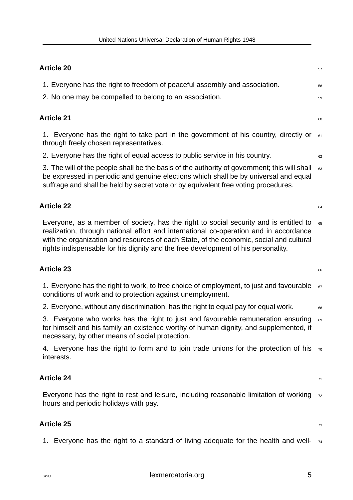#### **Article 20** 57

1. Everyone has the right to freedom of peaceful assembly and association.

2. No one may be compelled to belong to an association.

#### <span id="page-7-0"></span>Article 21 **60**

1. Everyone has the right to take part in the government of his country, directly or  $_{61}$ through freely chosen representatives.

<span id="page-7-1"></span>2. Everyone has the right of equal access to public service in his country.  $\frac{62}{62}$ 

3. The will of the people shall be the basis of the authority of government; this will shall  $_{63}$ be expressed in periodic and genuine elections which shall be by universal and equal suffrage and shall be held by secret vote or by equivalent free voting procedures.

#### Article 22 **64**

Everyone, as a member of society, has the right to social security and is entitled to  $_{65}$ realization, through national effort and international co-operation and in accordance with the organization and resources of each State, of the economic, social and cultural rights indispensable for his dignity and the free development of his personality.

#### <span id="page-7-2"></span>Article 23 **66**

1. Everyone has the right to work, to free choice of employment, to just and favourable  $67$ conditions of work and to protection against unemployment.

<span id="page-7-3"></span>2. Everyone, without any discrimination, has the right to equal pay for equal work.  $\frac{1}{68}$ 

3. Everyone who works has the right to just and favourable remuneration ensuring  $\epsilon_{0}$ for himself and his family an existence worthy of human dignity, and supplemented, if necessary, by other means of social protection.

4. Everyone has the right to form and to join trade unions for the protection of his  $\pi$ interests.

#### **Article 24** 71

Everyone has the right to rest and leisure, including reasonable limitation of working  $_{72}$ hours and periodic holidays with pay.

#### <span id="page-7-4"></span>Article 25 *P*  $\frac{1}{3}$  *P*  $\frac{1}{3}$  *P*  $\frac{1}{3}$  *P* $\frac{1}{3}$ *P* $\frac{1}{3}$ *P* $\frac{1}{3}$ *P* $\frac{1}{3}$ *P* $\frac{1}{3}$ *P* $\frac{1}{3}$ *P* $\frac{1}{3}$ *P* $\frac{1}{3}$ *P* $\frac{1}{3}$ *P* $\frac{1}{3}$ *P* $\frac{1}{3}$ *P* **\frac{**

<span id="page-7-5"></span>1. Everyone has the right to a standard of living adequate for the health and well-  $74$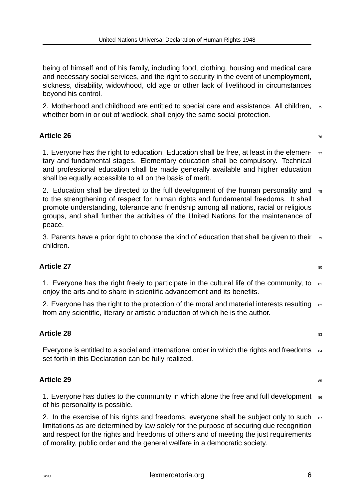being of himself and of his family, including food, clothing, housing and medical care and necessary social services, and the right to security in the event of unemployment, sickness, disability, widowhood, old age or other lack of livelihood in circumstances beyond his control.

2. Motherhood and childhood are entitled to special care and assistance. All children,  $\pi$ <sub>5</sub> whether born in or out of wedlock, shall enjoy the same social protection.

#### **Article 26** 76

1. Everyone has the right to education. Education shall be free, at least in the elemen- $\pi$ tary and fundamental stages. Elementary education shall be compulsory. Technical and professional education shall be made generally available and higher education shall be equally accessible to all on the basis of merit.

<span id="page-8-0"></span>2. Education shall be directed to the full development of the human personality and  $78$ to the strengthening of respect for human rights and fundamental freedoms. It shall promote understanding, tolerance and friendship among all nations, racial or religious groups, and shall further the activities of the United Nations for the maintenance of peace.

3. Parents have a prior right to choose the kind of education that shall be given to their  $\tau_{9}$ children.

## **Article 27** 80

1. Everyone has the right freely to participate in the cultural life of the community, to  $_{81}$ enjoy the arts and to share in scientific advancement and its benefits.

<span id="page-8-1"></span>2. Everyone has the right to the protection of the moral and material interests resulting  $82$ from any scientific, literary or artistic production of which he is the author.

## **Article 28** 83

Everyone is entitled to a social and international order in which the rights and freedoms  $_{84}$ set forth in this Declaration can be fully realized.

## <span id="page-8-2"></span>**Article 29** 85

1. Everyone has duties to the community in which alone the free and full development  $_{86}$ of his personality is possible.

<span id="page-8-3"></span>2. In the exercise of his rights and freedoms, everyone shall be subject only to such  $87$ limitations as are determined by law solely for the purpose of securing due recognition and respect for the rights and freedoms of others and of meeting the just requirements of morality, public order and the general welfare in a democratic society.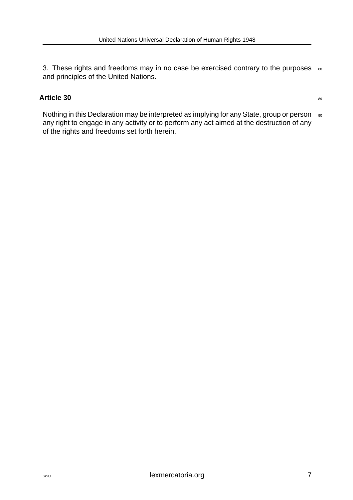3. These rights and freedoms may in no case be exercised contrary to the purposes  $888$ and principles of the United Nations.

#### **Article 30** 89

<span id="page-9-0"></span>Nothing in this Declaration may be interpreted as implying for any State, group or person 90 any right to engage in any activity or to perform any act aimed at the destruction of any of the rights and freedoms set forth herein.